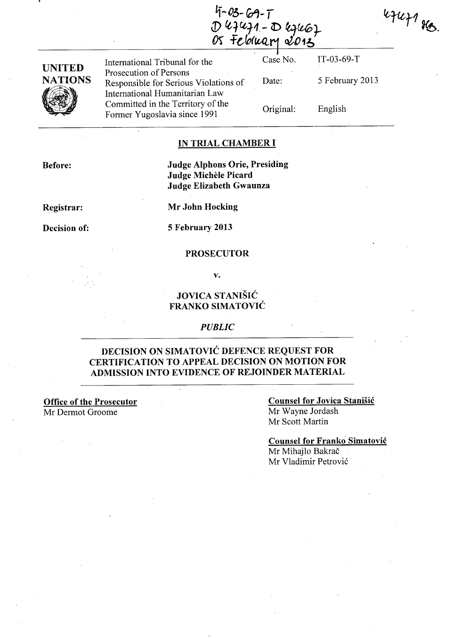$4447$  He.

| <b>UNITED</b><br><b>NATIONS</b> | International Tribunal for the                                                                    | Case No.  | $IT-03-69-T$    |
|---------------------------------|---------------------------------------------------------------------------------------------------|-----------|-----------------|
|                                 | Prosecution of Persons<br>Responsible for Serious Violations of<br>International Humanitarian Law | Date:     | 5 February 2013 |
|                                 | Committed in the Territory of the<br>Former Yugoslavia since 1991                                 | Original: | English         |

 $4 - 03 - 69 - 1$ 

D 47471-D 47467

### IN TRIAL CHAMBER **I**

Before:

Judge Alphons Orie, Presiding Judge Michèle Picard Judge Elizabeth Gwaunza

Registrar:

Decision of:

Mr John Hocking

5 February 2013

#### PROSECUTOR

v.

## JOVICA STANISIC FRANKO SIMATOVIC

### *PUBLIC*

## DECISION ON SIMATOVIC DEFENCE REQUEST FOR CERTIFICATION TO APPEAL DECISION ON MOTION FOR ADMISSION INTO EVIDENCE OF REJOINDER MATERIAL

Office of the Prosecutor Mr Dermot Groome

Counsel for Jovica Stanisic Mr Wayne Jordash Mr Scott Martin

Counsel for Franko Simatovic Mr Mihajlo Bakrač Mr Vladimir Petrovic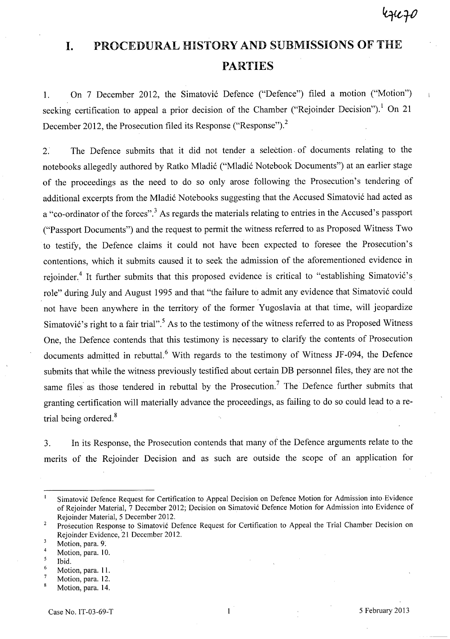# **I.** PROCEDURAL HISTORY AND SUBMISSIONS **OF** THE **PARTIES**

1. On 7 December 2012, the Simatović Defence ("Defence") filed a motion ("Motion") seeking certification to appeal a prior decision of the Chamber ("Rejoinder Decision").<sup>1</sup> On 21 December 2012, the Prosecution filed its Response ("Response").<sup>2</sup>

2. The Defence submits that it did not tender a selection. of documents relating to the notebooks allegedly authored by Ratko Mladić ("Mladić Notebook Documents") at an earlier stage of the proceedings as the need to do so only arose following the Prosecution's tendering of additional excerpts from the Mladić Notebooks suggesting that the Accused Simatović had acted as a "co-ordinator of the forces".<sup>3</sup> As regards the materials relating to entries in the Accused's passport ("Passport Documents") and the request to permit the witness referred to as Proposed Witness Two to testify, the Defence claims it could not have been expected to foresee the Prosecution's contentions, which it submits caused it to seek the admission of the aforementioned evidence in rejoinder.<sup>4</sup> It further submits that this proposed evidence is critical to "establishing Simatović's role" during July and August 1995 and that "the failure to admit any evidence that Simatović could not have been anywhere in the territory of the former Yugoslavia at that time, will jeopardize Simatović's right to a fair trial".<sup>5</sup> As to the testimony of the witness referred to as Proposed Witness One, the Defence contends that this testimony is necessary to clarify the contents of Prosecution documents admitted in rebuttal.<sup>6</sup> With regards to the testimony of Witness JF-094, the Defence submits that while the witness previously testified about certain DB personnel files, they are not the same files as those tendered in rebuttal by the Prosecution.<sup>7</sup> The Defence further submits that granting certification will materially advance the proceedings, as failing to do so could lead to a retrial being ordered. $8$ 

3. In its Response, the Prosecution contends that many of the Defence arguments relate to the merits of the Rejoinder Decision and as such are outside the scope of an application for

- 5 Ibid.
- 6 Motion, para. 11.
- 7 Motion, para. 12. 8

 $\mathbf{I}$ Simatovi6 Defence Request for Certification to Appeal Decision on Defence Motion for Admission into Evidence of Rejoinder Material, 7 December 2012; Decision on Simatovi6 Defence Motion for Admission into Evidence of Rejoinder Material, 5 December 2012.

<sup>2</sup>  Prosecution Response to Simatović Defence Request for Certification to Appeal the Trial Chamber Decision on Rejoinder Evidence, 21 December 2012.

 $\overline{\mathbf{3}}$ Motion, para. 9:

<sup>4</sup>  Motion, para. 10.

Motion, para. 14.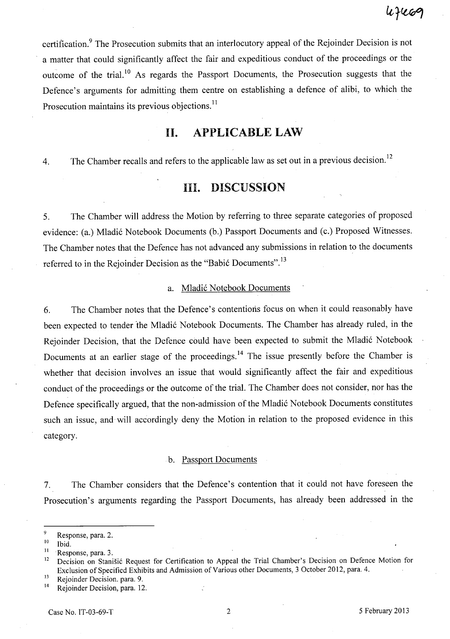certification.<sup>9</sup> The Prosecution submits that an interlocutory appeal of the Rejoinder Decision is not a matter that could significantly affect the fair and expeditious conduct of the proceedings or the outcome of the trial.<sup>10</sup> As regards the Passport Documents, the Prosecution suggests that the Defence's arguments for admitting them centre on establishing a defence of alibi, to which the Prosecution maintains its previous objections.<sup>11</sup>

# **II. APPLICABLE LAW**

4. The Chamber recalls and refers to the applicable law as set out in a previous decision.<sup>12</sup>

## **III. DISCUSSION**

5. The Chamber will address the Motion by referring to three separate categories of proposed evidence: (a.) Mladic Notebook Documents (b.) Passport Documents and (c.) Proposed Witnesses. The Chamber notes that the Defence has not advanced any submissions in relation to the documents referred to in the Rejoinder Decision as the "Babić Documents".<sup>13</sup>

## a. Mladic Notebook Documents

6. The Chamber notes that the Defence's contentions focus on when it could reasonably have been expected to tender 'the Mladic Notebook Documents. The Chamber has already ruled, in the Rejoinder Decision, that the Defence could have been expected to submit the Mladic Notebook Documents at an earlier stage of the proceedings.<sup>14</sup> The issue presently before the Chamber is whether that decision involves an issue that would significantly affect the fair and expeditious conduct of the proceedings or the outcome of the trial. The Chamber does not consider, nor has the Defence specifically argued, that the non-admission of the Mladic Notebook Documents constitutes such an issue, and will accordingly deny the Motion in relation to the proposed evidence in this category.

### b. Passport Documents

7. The Chamber considers that the Defence's contention that it could not have foreseen the Prosecution's arguments regarding the Passport Documents, has already been addressed in the

 $^{9}$  Response, para. 2.

Ibid.

<sup>&</sup>lt;sup>11</sup> Response, para. 3.

<sup>&</sup>lt;sup>12</sup> Decision on Stanišić Request for Certification to Appeal the Trial Chamber's Decision on Defence Motion for Exclusion of Specified Exhibits and Admission of Various other Documents, 3 October 2012, para. 4.

 $13$  Rejoinder Decision. para. 9.<br> $14$  Peioinder Decision. para. 12

Rejoinder Decision, para. 12.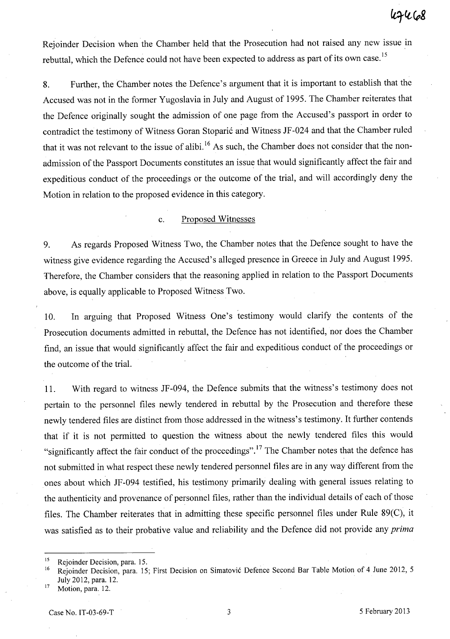Rejoinder Decision when the Chamber held that the Prosecution had not raised any new issue in rebuttal, which the Defence could not have been expected to address as part of its own case.<sup>15</sup>

8. Further, the Chamber notes the Defence's argument that it is important to establish that the Accused was not in the former Yugoslavia in July and August of 1995. The Chamber reiterates that the Defence originally sought the admission of one page from the Accused's passport in order to contradict the testimony of Witness Goran Stoparic and Witness JF -024 and that the Chamber ruled that it was not relevant to the issue of alibi.<sup>16</sup> As such, the Chamber does not consider that the nonadmission of the Passport Documents constitutes an issue that would significantly affect the fair and expeditious conduct of the proceedings or the outcome of the trial, and will accordingly deny the Motion in relation to the proposed evidence in this category.

## c. Proposed Witnesses

9. As regards Proposed Witness Two, the Chamber notes that the Defence sought to have the witness give evidence regarding the Accused's alleged presence in Greece in July and August 1995. Therefore, the Chamber considers that the reasoning applied in relation to the Passport Documents above, is equally applicable to Proposed Witness Two.

10. In arguing that Proposed Witness One's testimony would clarify the contents of the Prosecution documents admitted in rebuttal, the Defence has not identified, nor does the Chamber find, an issue that would significantly affect the fair and expeditious conduct of the proceedings or the outcome of the trial.

11. With regard to witness JF-094, the Defence submits that the witness's testimony does not pertain to the personnel files newly tendered in rebuttal by the Prosecution and therefore these newly tendered files are distinct from those addressed in the witness's testimony. It further contends that if it is not permitted to question the witness about the newly tendered files this would "significantly affect the fair conduct of the proceedings". 17 The Chamber notes that the defence has not submitted in what respect these newly tendered personnel files are in any way different from the ones about which JF-094 testified, his testimony primarily dealing with general issues relating to the authenticity and provenance of personnel files, rather than the individual details of each of those files. The Chamber reiterates that in admitting these specific personnel files under Rule 89(C), it was satisfied as to their probative value and reliability and the Defence did not provide any *prima* 

<sup>&</sup>lt;sup>15</sup> Rejoinder Decision, para. 15.

<sup>&</sup>lt;sup>16</sup> Rejoinder Decision, para. 15; First Decision on Simatović Defence Second Bar Table Motion of 4 June 2012, 5 July 2012, para. 12.

 $17$  Motion, para. 12.